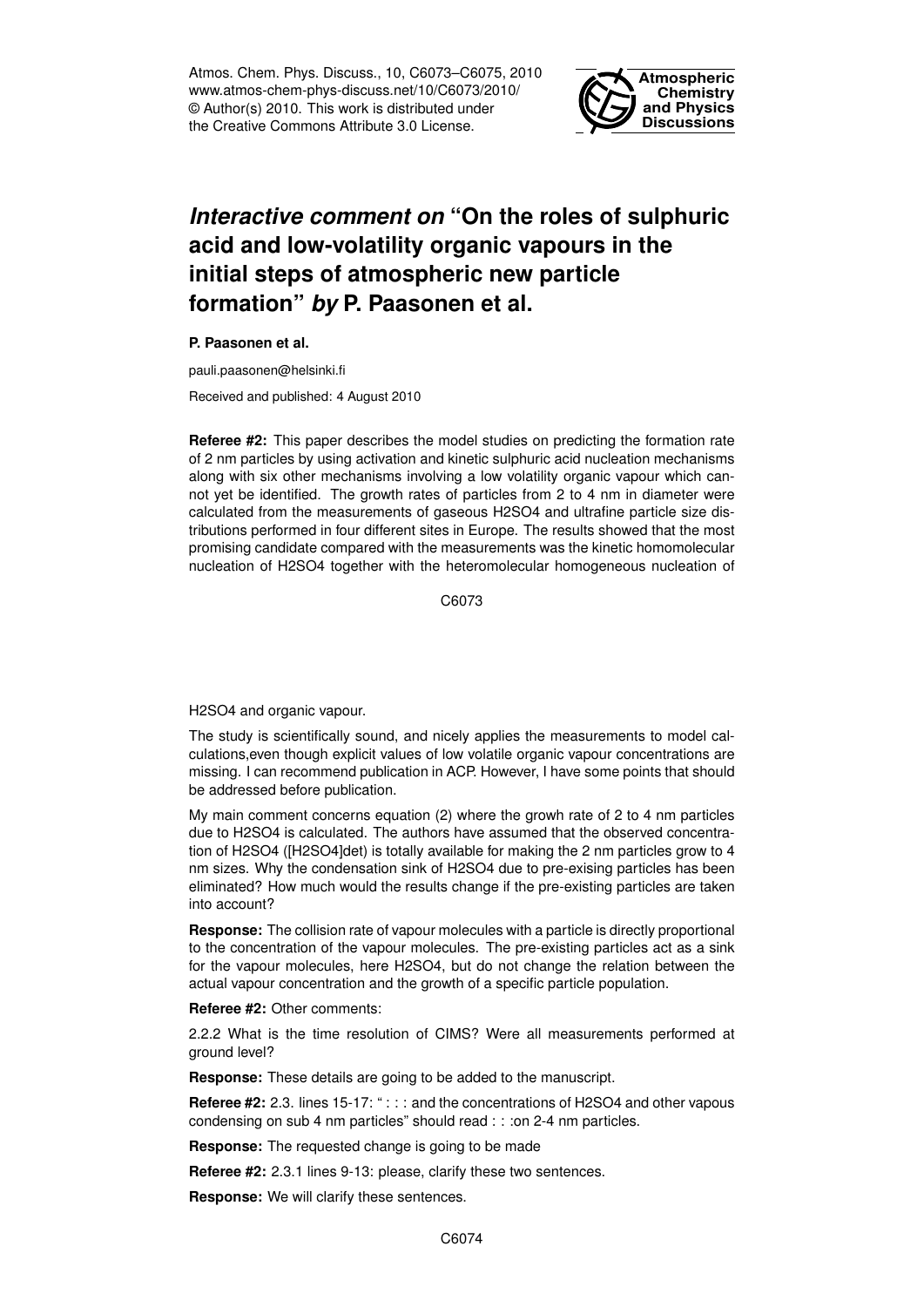Atmos. Chem. Phys. Discuss., 10, C6073–C6075, 2010 www.atmos-chem-phys-discuss.net/10/C6073/2010/ © Author(s) 2010. This work is distributed under the Creative Commons Attribute 3.0 License.



## *Interactive comment on* **"On the roles of sulphuric acid and low-volatility organic vapours in the initial steps of atmospheric new particle formation"** *by* **P. Paasonen et al.**

**P. Paasonen et al.**

pauli.paasonen@helsinki.fi

Received and published: 4 August 2010

**Referee #2:** This paper describes the model studies on predicting the formation rate of 2 nm particles by using activation and kinetic sulphuric acid nucleation mechanisms along with six other mechanisms involving a low volatility organic vapour which cannot yet be identified. The growth rates of particles from 2 to 4 nm in diameter were calculated from the measurements of gaseous H2SO4 and ultrafine particle size distributions performed in four different sites in Europe. The results showed that the most promising candidate compared with the measurements was the kinetic homomolecular nucleation of H2SO4 together with the heteromolecular homogeneous nucleation of

C6073

H2SO4 and organic vapour.

The study is scientifically sound, and nicely applies the measurements to model calculations,even though explicit values of low volatile organic vapour concentrations are missing. I can recommend publication in ACP. However, I have some points that should be addressed before publication.

My main comment concerns equation (2) where the growh rate of 2 to 4 nm particles due to H2SO4 is calculated. The authors have assumed that the observed concentration of H2SO4 ([H2SO4]det) is totally available for making the 2 nm particles grow to 4 nm sizes. Why the condensation sink of H2SO4 due to pre-exising particles has been eliminated? How much would the results change if the pre-existing particles are taken into account?

**Response:** The collision rate of vapour molecules with a particle is directly proportional to the concentration of the vapour molecules. The pre-existing particles act as a sink for the vapour molecules, here H2SO4, but do not change the relation between the actual vapour concentration and the growth of a specific particle population.

**Referee #2:** Other comments:

2.2.2 What is the time resolution of CIMS? Were all measurements performed at ground level?

**Response:** These details are going to be added to the manuscript.

**Referee #2:** 2.3. lines 15-17: "::: and the concentrations of H2SO4 and other vapous condensing on sub 4 nm particles" should read : : : on 2-4 nm particles.

**Response:** The requested change is going to be made

**Referee #2:** 2.3.1 lines 9-13: please, clarify these two sentences.

**Response:** We will clarify these sentences.